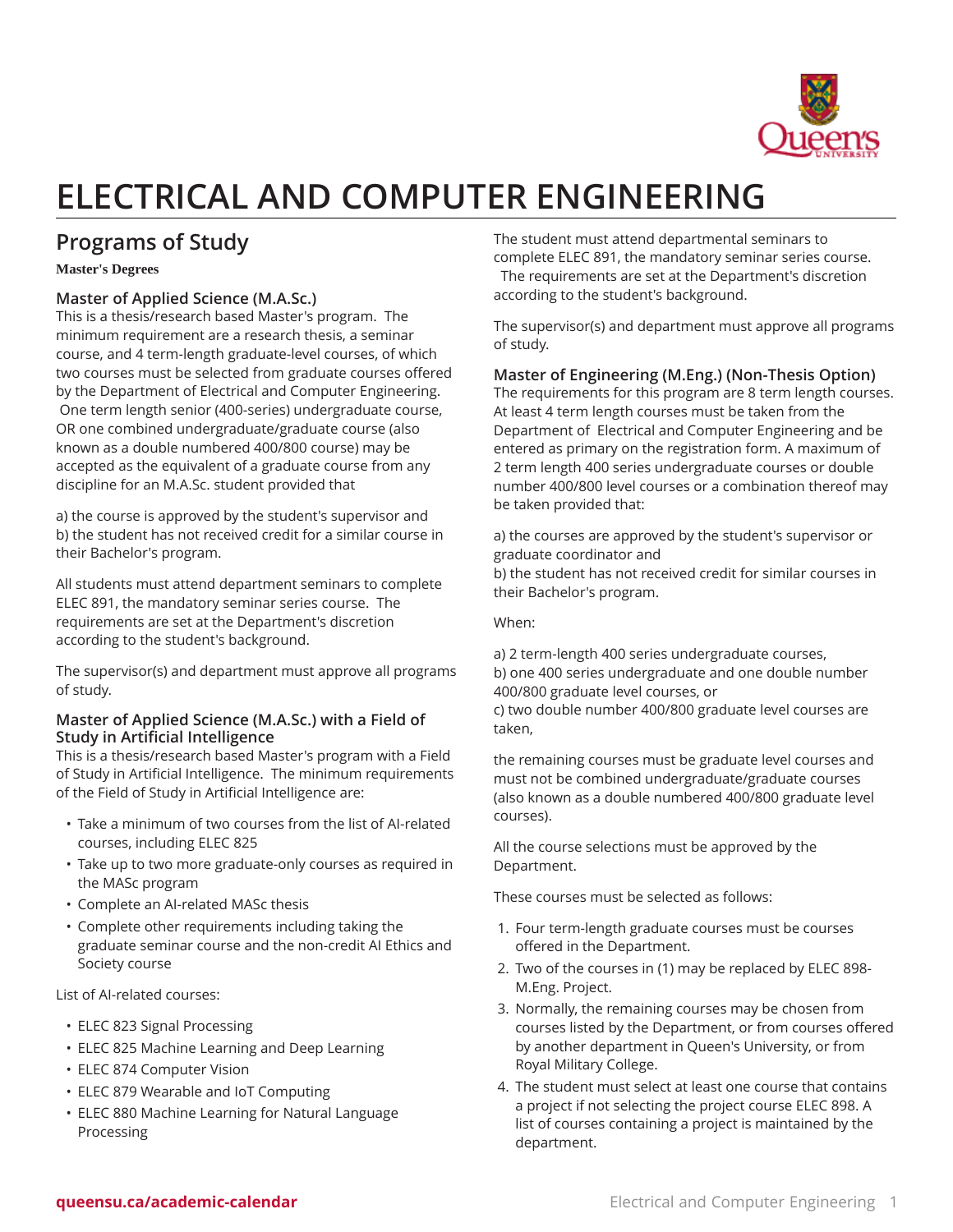

# **ELECTRICAL AND COMPUTER ENGINEERING**

# **Programs of Study**

#### **Master's Degrees**

### **Master of Applied Science (M.A.Sc.)**

This is a thesis/research based Master's program. The minimum requirement are a research thesis, a seminar course, and 4 term-length graduate-level courses, of which two courses must be selected from graduate courses offered by the Department of Electrical and Computer Engineering. One term length senior (400-series) undergraduate course, OR one combined undergraduate/graduate course (also known as a double numbered 400/800 course) may be accepted as the equivalent of a graduate course from any discipline for an M.A.Sc. student provided that

a) the course is approved by the student's supervisor and b) the student has not received credit for a similar course in their Bachelor's program.

All students must attend department seminars to complete ELEC 891, the mandatory seminar series course. The requirements are set at the Department's discretion according to the student's background.

The supervisor(s) and department must approve all programs of study.

#### **Master of Applied Science (M.A.Sc.) with a Field of Study in Artificial Intelligence**

This is a thesis/research based Master's program with a Field of Study in Artificial Intelligence. The minimum requirements of the Field of Study in Artificial Intelligence are:

- Take a minimum of two courses from the list of AI-related courses, including ELEC 825
- Take up to two more graduate-only courses as required in the MASc program
- Complete an AI-related MASc thesis
- Complete other requirements including taking the graduate seminar course and the non-credit AI Ethics and Society course

List of AI-related courses:

- ELEC 823 Signal Processing
- ELEC 825 Machine Learning and Deep Learning
- ELEC 874 Computer Vision
- ELEC 879 Wearable and IoT Computing
- ELEC 880 Machine Learning for Natural Language Processing

The student must attend departmental seminars to complete ELEC 891, the mandatory seminar series course. The requirements are set at the Department's discretion according to the student's background.

The supervisor(s) and department must approve all programs of study.

**Master of Engineering (M.Eng.) (Non-Thesis Option)** The requirements for this program are 8 term length courses. At least 4 term length courses must be taken from the Department of Electrical and Computer Engineering and be entered as primary on the registration form. A maximum of 2 term length 400 series undergraduate courses or double number 400/800 level courses or a combination thereof may be taken provided that:

a) the courses are approved by the student's supervisor or graduate coordinator and

b) the student has not received credit for similar courses in their Bachelor's program.

When:

a) 2 term-length 400 series undergraduate courses, b) one 400 series undergraduate and one double number 400/800 graduate level courses, or

c) two double number 400/800 graduate level courses are taken,

the remaining courses must be graduate level courses and must not be combined undergraduate/graduate courses (also known as a double numbered 400/800 graduate level courses).

All the course selections must be approved by the Department.

These courses must be selected as follows:

- 1. Four term-length graduate courses must be courses offered in the Department.
- 2. Two of the courses in (1) may be replaced by ELEC 898- M.Eng. Project.
- 3. Normally, the remaining courses may be chosen from courses listed by the Department, or from courses offered by another department in Queen's University, or from Royal Military College.
- 4. The student must select at least one course that contains a project if not selecting the project course ELEC 898. A list of courses containing a project is maintained by the department.